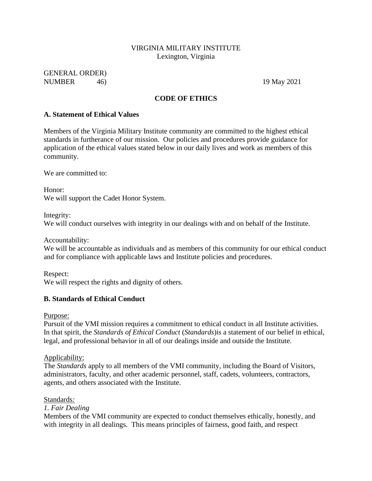#### VIRGINIA MILITARY INSTITUTE Lexington, Virginia

GENERAL ORDER) NUMBER 46) 19 May 2021

#### **CODE OF ETHICS**

#### **A. Statement of Ethical Values**

Members of the Virginia Military Institute community are committed to the highest ethical standards in furtherance of our mission. Our policies and procedures provide guidance for application of the ethical values stated below in our daily lives and work as members of this community.

We are committed to:

Honor: We will support the Cadet Honor System.

Integrity: We will conduct ourselves with integrity in our dealings with and on behalf of the Institute.

Accountability:

We will be accountable as individuals and as members of this community for our ethical conduct and for compliance with applicable laws and Institute policies and procedures.

Respect: We will respect the rights and dignity of others.

#### **B. Standards of Ethical Conduct**

Purpose:

Pursuit of the VMI mission requires a commitment to ethical conduct in all Institute activities. In that spirit, the *Standards of Ethical Conduct* (*Standards*)is a statement of our belief in ethical, legal, and professional behavior in all of our dealings inside and outside the Institute.

Applicability:

The *Standards* apply to all members of the VMI community, including the Board of Visitors, administrators, faculty, and other academic personnel, staff, cadets, volunteers, contractors, agents, and others associated with the Institute.

Standards*:*

#### *1. Fair Dealing*

Members of the VMI community are expected to conduct themselves ethically, honestly, and with integrity in all dealings. This means principles of fairness, good faith, and respect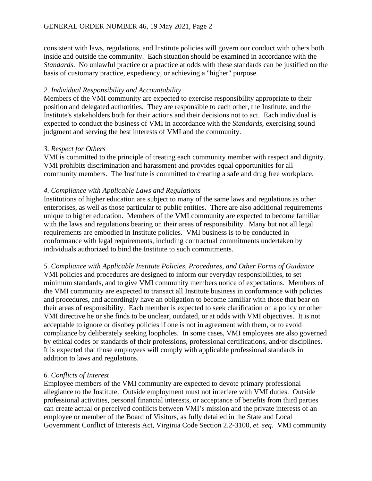consistent with laws, regulations, and Institute policies will govern our conduct with others both inside and outside the community. Each situation should be examined in accordance with the *Standards*. No unlawful practice or a practice at odds with these standards can be justified on the basis of customary practice, expediency, or achieving a "higher" purpose.

#### *2. Individual Responsibility and Accountability*

Members of the VMI community are expected to exercise responsibility appropriate to their position and delegated authorities. They are responsible to each other, the Institute, and the Institute's stakeholders both for their actions and their decisions not to act. Each individual is expected to conduct the business of VMI in accordance with the *Standards*, exercising sound judgment and serving the best interests of VMI and the community.

#### *3. Respect for Others*

VMI is committed to the principle of treating each community member with respect and dignity. VMI prohibits discrimination and harassment and provides equal opportunities for all community members. The Institute is committed to creating a safe and drug free workplace.

#### *4. Compliance with Applicable Laws and Regulations*

Institutions of higher education are subject to many of the same laws and regulations as other enterprises, as well as those particular to public entities. There are also additional requirements unique to higher education. Members of the VMI community are expected to become familiar with the laws and regulations bearing on their areas of responsibility. Many but not all legal requirements are embodied in Institute policies. VMI business is to be conducted in conformance with legal requirements, including contractual commitments undertaken by individuals authorized to bind the Institute to such commitments.

*5. Compliance with Applicable Institute Policies, Procedures, and Other Forms of Guidance* VMI policies and procedures are designed to inform our everyday responsibilities, to set minimum standards, and to give VMI community members notice of expectations. Members of the VMI community are expected to transact all Institute business in conformance with policies and procedures, and accordingly have an obligation to become familiar with those that bear on their areas of responsibility. Each member is expected to seek clarification on a policy or other VMI directive he or she finds to be unclear, outdated, or at odds with VMI objectives. It is not acceptable to ignore or disobey policies if one is not in agreement with them, or to avoid compliance by deliberately seeking loopholes. In some cases, VMI employees are also governed by ethical codes or standards of their professions, professional certifications, and/or disciplines. It is expected that those employees will comply with applicable professional standards in addition to laws and regulations.

#### *6. Conflicts of Interest*

Employee members of the VMI community are expected to devote primary professional allegiance to the Institute. Outside employment must not interfere with VMI duties. Outside professional activities, personal financial interests, or acceptance of benefits from third parties can create actual or perceived conflicts between VMI's mission and the private interests of an employee or member of the Board of Visitors, as fully detailed in the State and Local Government Conflict of Interests Act, Virginia Code Section 2.2-3100, *et. seq*. VMI community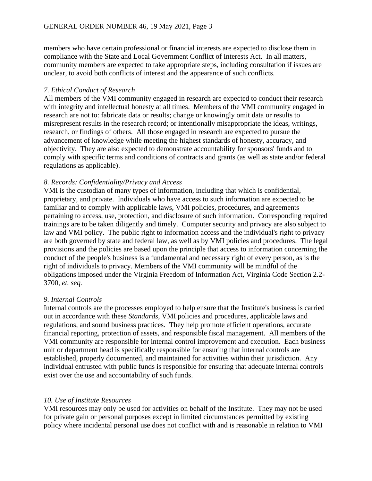members who have certain professional or financial interests are expected to disclose them in compliance with the State and Local Government Conflict of Interests Act. In all matters, community members are expected to take appropriate steps, including consultation if issues are unclear, to avoid both conflicts of interest and the appearance of such conflicts.

#### *7. Ethical Conduct of Research*

All members of the VMI community engaged in research are expected to conduct their research with integrity and intellectual honesty at all times. Members of the VMI community engaged in research are not to: fabricate data or results; change or knowingly omit data or results to misrepresent results in the research record; or intentionally misappropriate the ideas, writings, research, or findings of others. All those engaged in research are expected to pursue the advancement of knowledge while meeting the highest standards of honesty, accuracy, and objectivity. They are also expected to demonstrate accountability for sponsors' funds and to comply with specific terms and conditions of contracts and grants (as well as state and/or federal regulations as applicable).

### *8. Records: Confidentiality/Privacy and Access*

VMI is the custodian of many types of information, including that which is confidential, proprietary, and private. Individuals who have access to such information are expected to be familiar and to comply with applicable laws, VMI policies, procedures, and agreements pertaining to access, use, protection, and disclosure of such information. Corresponding required trainings are to be taken diligently and timely. Computer security and privacy are also subject to law and VMI policy. The public right to information access and the individual's right to privacy are both governed by state and federal law, as well as by VMI policies and procedures. The legal provisions and the policies are based upon the principle that access to information concerning the conduct of the people's business is a fundamental and necessary right of every person, as is the right of individuals to privacy. Members of the VMI community will be mindful of the obligations imposed under the Virginia Freedom of Information Act, Virginia Code Section 2.2- 3700, *et. seq.*

#### *9. Internal Controls*

Internal controls are the processes employed to help ensure that the Institute's business is carried out in accordance with these *Standards*, VMI policies and procedures, applicable laws and regulations, and sound business practices. They help promote efficient operations, accurate financial reporting, protection of assets, and responsible fiscal management. All members of the VMI community are responsible for internal control improvement and execution. Each business unit or department head is specifically responsible for ensuring that internal controls are established, properly documented, and maintained for activities within their jurisdiction. Any individual entrusted with public funds is responsible for ensuring that adequate internal controls exist over the use and accountability of such funds.

#### *10. Use of Institute Resources*

VMI resources may only be used for activities on behalf of the Institute. They may not be used for private gain or personal purposes except in limited circumstances permitted by existing policy where incidental personal use does not conflict with and is reasonable in relation to VMI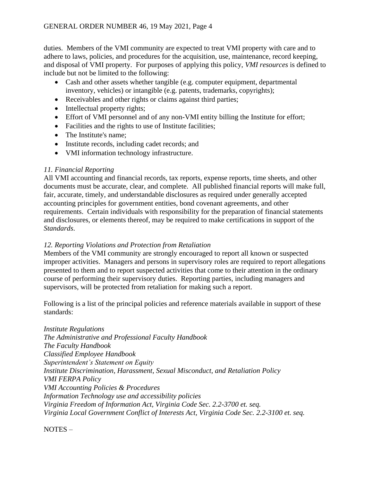duties. Members of the VMI community are expected to treat VMI property with care and to adhere to laws, policies, and procedures for the acquisition, use, maintenance, record keeping, and disposal of VMI property. For purposes of applying this policy, *VMI resources* is defined to include but not be limited to the following:

- Cash and other assets whether tangible (e.g. computer equipment, departmental inventory, vehicles) or intangible (e.g. patents, trademarks, copyrights);
- Receivables and other rights or claims against third parties;
- Intellectual property rights;
- Effort of VMI personnel and of any non-VMI entity billing the Institute for effort;
- Facilities and the rights to use of Institute facilities;
- The Institute's name;
- Institute records, including cadet records; and
- VMI information technology infrastructure.

## *11. Financial Reporting*

All VMI accounting and financial records, tax reports, expense reports, time sheets, and other documents must be accurate, clear, and complete. All published financial reports will make full, fair, accurate, timely, and understandable disclosures as required under generally accepted accounting principles for government entities, bond covenant agreements, and other requirements. Certain individuals with responsibility for the preparation of financial statements and disclosures, or elements thereof, may be required to make certifications in support of the *Standards*.

### *12. Reporting Violations and Protection from Retaliation*

Members of the VMI community are strongly encouraged to report all known or suspected improper activities. Managers and persons in supervisory roles are required to report allegations presented to them and to report suspected activities that come to their attention in the ordinary course of performing their supervisory duties. Reporting parties, including managers and supervisors, will be protected from retaliation for making such a report.

Following is a list of the principal policies and reference materials available in support of these standards:

*Institute Regulations The Administrative and Professional Faculty Handbook The Faculty Handbook Classified Employee Handbook Superintendent's Statement on Equity Institute Discrimination, Harassment, Sexual Misconduct, and Retaliation Policy VMI FERPA Policy VMI Accounting Policies & Procedures Information Technology use and accessibility policies Virginia Freedom of Information Act, Virginia Code Sec. 2.2-3700 et. seq. Virginia Local Government Conflict of Interests Act, Virginia Code Sec. 2.2-3100 et. seq.*

NOTES –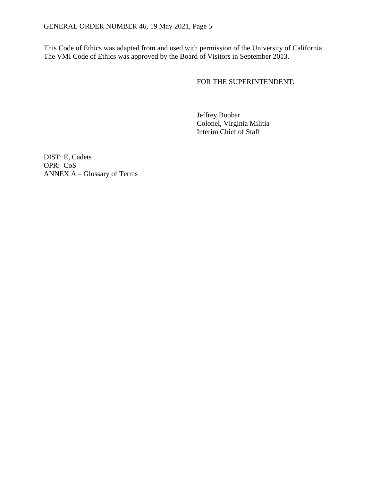This Code of Ethics was adapted from and used with permission of the University of California. The VMI Code of Ethics was approved by the Board of Visitors in September 2013.

FOR THE SUPERINTENDENT:

Jeffrey Boobar Colonel, Virginia Militia Interim Chief of Staff

DIST: E, Cadets OPR: CoS ANNEX A – Glossary of Terms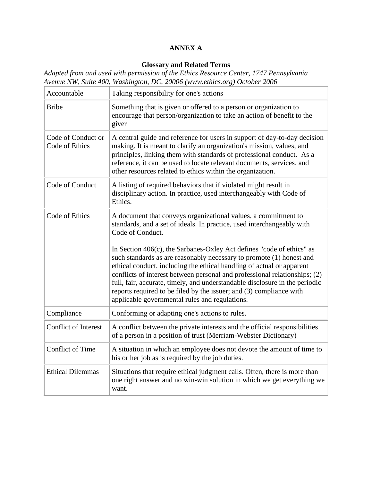## **ANNEX A**

# **Glossary and Related Terms**

*Adapted from and used with permission of the Ethics Resource Center, 1747 Pennsylvania Avenue NW, Suite 400, Washington, DC, 20006 [\(www.ethics.org\)](http://www.ethics.org/) October 2006*

| Accountable                          | Taking responsibility for one's actions                                                                                                                                                                                                                                                                                                                                                                                             |
|--------------------------------------|-------------------------------------------------------------------------------------------------------------------------------------------------------------------------------------------------------------------------------------------------------------------------------------------------------------------------------------------------------------------------------------------------------------------------------------|
| <b>Bribe</b>                         | Something that is given or offered to a person or organization to<br>encourage that person/organization to take an action of benefit to the<br>giver                                                                                                                                                                                                                                                                                |
| Code of Conduct or<br>Code of Ethics | A central guide and reference for users in support of day-to-day decision<br>making. It is meant to clarify an organization's mission, values, and<br>principles, linking them with standards of professional conduct. As a<br>reference, it can be used to locate relevant documents, services, and<br>other resources related to ethics within the organization.                                                                  |
| Code of Conduct                      | A listing of required behaviors that if violated might result in<br>disciplinary action. In practice, used interchangeably with Code of<br>Ethics.                                                                                                                                                                                                                                                                                  |
| Code of Ethics                       | A document that conveys organizational values, a commitment to<br>standards, and a set of ideals. In practice, used interchangeably with<br>Code of Conduct.<br>In Section 406(c), the Sarbanes-Oxley Act defines "code of ethics" as                                                                                                                                                                                               |
|                                      | such standards as are reasonably necessary to promote (1) honest and<br>ethical conduct, including the ethical handling of actual or apparent<br>conflicts of interest between personal and professional relationships; (2)<br>full, fair, accurate, timely, and understandable disclosure in the periodic<br>reports required to be filed by the issuer; and (3) compliance with<br>applicable governmental rules and regulations. |
| Compliance                           | Conforming or adapting one's actions to rules.                                                                                                                                                                                                                                                                                                                                                                                      |
| <b>Conflict of Interest</b>          | A conflict between the private interests and the official responsibilities<br>of a person in a position of trust (Merriam-Webster Dictionary)                                                                                                                                                                                                                                                                                       |
| <b>Conflict of Time</b>              | A situation in which an employee does not devote the amount of time to<br>his or her job as is required by the job duties.                                                                                                                                                                                                                                                                                                          |
| <b>Ethical Dilemmas</b>              | Situations that require ethical judgment calls. Often, there is more than<br>one right answer and no win-win solution in which we get everything we<br>want.                                                                                                                                                                                                                                                                        |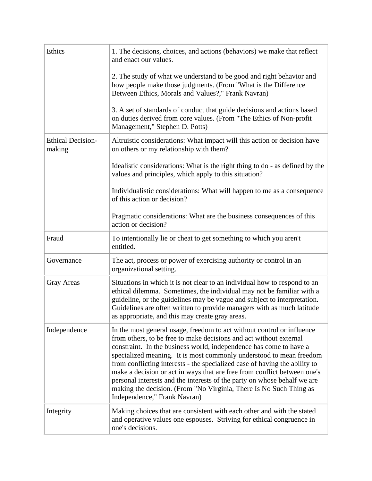| Ethics                             | 1. The decisions, choices, and actions (behaviors) we make that reflect<br>and enact our values.                                                                                                                                                                                                                                                                                                                                                                                                                                                                                                                                      |
|------------------------------------|---------------------------------------------------------------------------------------------------------------------------------------------------------------------------------------------------------------------------------------------------------------------------------------------------------------------------------------------------------------------------------------------------------------------------------------------------------------------------------------------------------------------------------------------------------------------------------------------------------------------------------------|
|                                    | 2. The study of what we understand to be good and right behavior and<br>how people make those judgments. (From "What is the Difference<br>Between Ethics, Morals and Values?," Frank Navran)                                                                                                                                                                                                                                                                                                                                                                                                                                          |
|                                    | 3. A set of standards of conduct that guide decisions and actions based<br>on duties derived from core values. (From "The Ethics of Non-profit<br>Management," Stephen D. Potts)                                                                                                                                                                                                                                                                                                                                                                                                                                                      |
| <b>Ethical Decision-</b><br>making | Altruistic considerations: What impact will this action or decision have<br>on others or my relationship with them?                                                                                                                                                                                                                                                                                                                                                                                                                                                                                                                   |
|                                    | Idealistic considerations: What is the right thing to do - as defined by the<br>values and principles, which apply to this situation?                                                                                                                                                                                                                                                                                                                                                                                                                                                                                                 |
|                                    | Individualistic considerations: What will happen to me as a consequence<br>of this action or decision?                                                                                                                                                                                                                                                                                                                                                                                                                                                                                                                                |
|                                    | Pragmatic considerations: What are the business consequences of this<br>action or decision?                                                                                                                                                                                                                                                                                                                                                                                                                                                                                                                                           |
| Fraud                              | To intentionally lie or cheat to get something to which you aren't<br>entitled.                                                                                                                                                                                                                                                                                                                                                                                                                                                                                                                                                       |
| Governance                         | The act, process or power of exercising authority or control in an<br>organizational setting.                                                                                                                                                                                                                                                                                                                                                                                                                                                                                                                                         |
| <b>Gray Areas</b>                  | Situations in which it is not clear to an individual how to respond to an<br>ethical dilemma. Sometimes, the individual may not be familiar with a<br>guideline, or the guidelines may be vague and subject to interpretation.<br>Guidelines are often written to provide managers with as much latitude<br>as appropriate, and this may create gray areas.                                                                                                                                                                                                                                                                           |
| Independence                       | In the most general usage, freedom to act without control or influence<br>from others, to be free to make decisions and act without external<br>constraint. In the business world, independence has come to have a<br>specialized meaning. It is most commonly understood to mean freedom<br>from conflicting interests - the specialized case of having the ability to<br>make a decision or act in ways that are free from conflict between one's<br>personal interests and the interests of the party on whose behalf we are<br>making the decision. (From "No Virginia, There Is No Such Thing as<br>Independence," Frank Navran) |
| Integrity                          | Making choices that are consistent with each other and with the stated<br>and operative values one espouses. Striving for ethical congruence in<br>one's decisions.                                                                                                                                                                                                                                                                                                                                                                                                                                                                   |